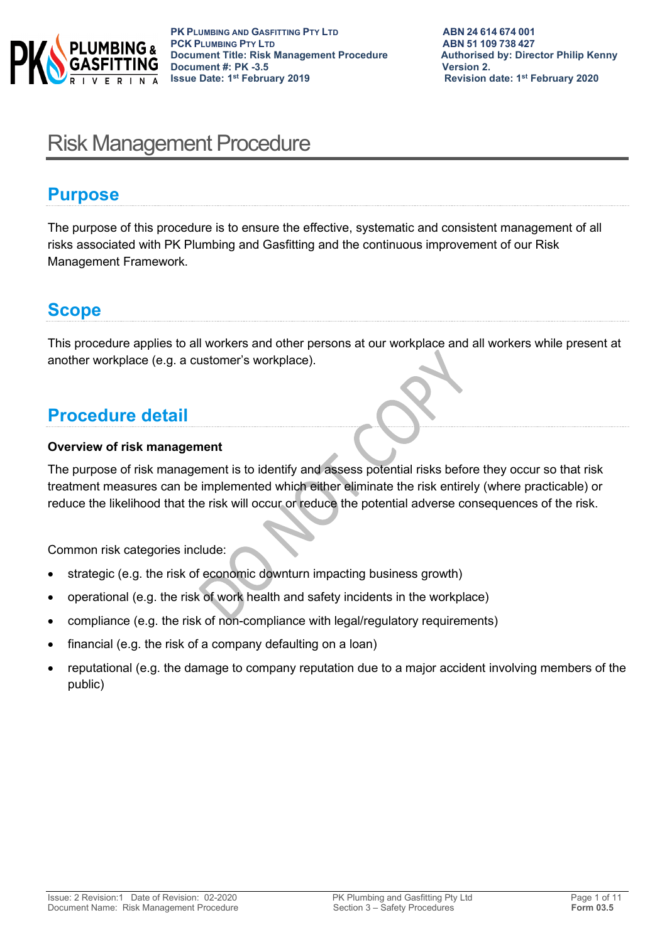

# Risk Management Procedure

### **Purpose**

The purpose of this procedure is to ensure the effective, systematic and consistent management of all risks associated with PK Plumbing and Gasfitting and the continuous improvement of our Risk Management Framework.

# **Scope**

This procedure applies to all workers and other persons at our workplace and all workers while present at another workplace (e.g. a customer's workplace).

# **Procedure detail**

#### **Overview of risk management**

The purpose of risk management is to identify and assess potential risks before they occur so that risk treatment measures can be implemented which either eliminate the risk entirely (where practicable) or reduce the likelihood that the risk will occur or reduce the potential adverse consequences of the risk.

Common risk categories include:

- strategic (e.g. the risk of economic downturn impacting business growth)
- operational (e.g. the risk of work health and safety incidents in the workplace)
- compliance (e.g. the risk of non-compliance with legal/regulatory requirements)
- financial (e.g. the risk of a company defaulting on a loan)
- reputational (e.g. the damage to company reputation due to a major accident involving members of the public)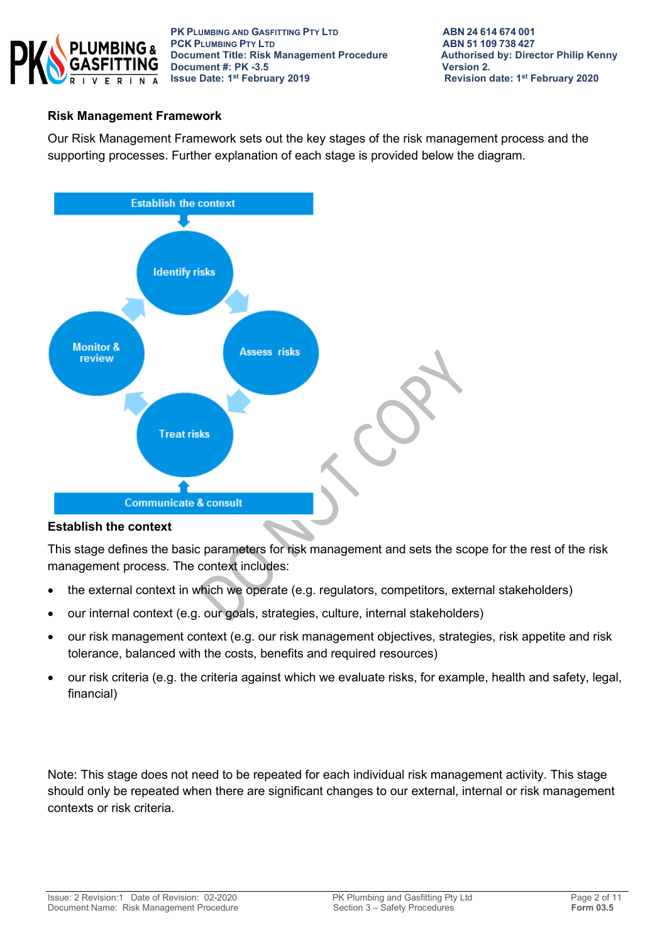

**PK PLUMBING AND GASFITTING PTY LTD ABN 24614674001**<br> **PCK PLUMBING PTY LTD ABN 51109738427 PCK PLUMBING PTY LTD**<br> **PCK PLUMBING PTY LTD**<br> **Document Title: Risk Management Procedure** Authorised by: Director Philip Kenny **Document Title: Risk Management Procedure Authorised by: Authorised by: Philip Represent Authorised by: Philip Represent Authorised by: Director Philip Represent Authorised by: Philip Represent Authorised by: Philip Repre Document #: PK -3.5 Issue Date: 1st February 2019** 

**Revision date: 1st February 2020** 

#### **Risk Management Framework**

Our Risk Management Framework sets out the key stages of the risk management process and the supporting processes. Further explanation of each stage is provided below the diagram.



#### **Establish the context**

This stage defines the basic parameters for risk management and sets the scope for the rest of the risk management process. The context includes:

- the external context in which we operate (e.g. regulators, competitors, external stakeholders)
- our internal context (e.g. our goals, strategies, culture, internal stakeholders)
- our risk management context (e.g. our risk management objectives, strategies, risk appetite and risk tolerance, balanced with the costs, benefits and required resources)
- our risk criteria (e.g. the criteria against which we evaluate risks, for example, health and safety, legal, financial)

Note: This stage does not need to be repeated for each individual risk management activity. This stage should only be repeated when there are significant changes to our external, internal or risk management contexts or risk criteria.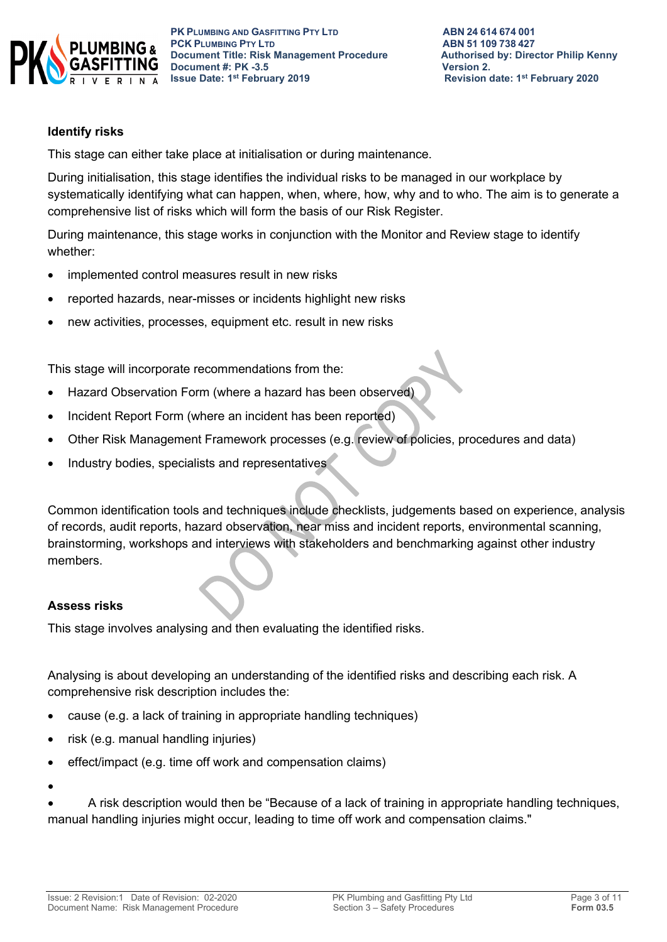

#### **Identify risks**

This stage can either take place at initialisation or during maintenance.

During initialisation, this stage identifies the individual risks to be managed in our workplace by systematically identifying what can happen, when, where, how, why and to who. The aim is to generate a comprehensive list of risks which will form the basis of our Risk Register.

During maintenance, this stage works in conjunction with the Monitor and Review stage to identify whether:

- implemented control measures result in new risks
- reported hazards, near-misses or incidents highlight new risks
- new activities, processes, equipment etc. result in new risks

This stage will incorporate recommendations from the:

- Hazard Observation Form (where a hazard has been observed)
- Incident Report Form (where an incident has been reported)
- Other Risk Management Framework processes (e.g. review of policies, procedures and data)
- Industry bodies, specialists and representatives

Common identification tools and techniques include checklists, judgements based on experience, analysis of records, audit reports, hazard observation, near miss and incident reports, environmental scanning, brainstorming, workshops and interviews with stakeholders and benchmarking against other industry members.

#### **Assess risks**

This stage involves analysing and then evaluating the identified risks.

Analysing is about developing an understanding of the identified risks and describing each risk. A comprehensive risk description includes the:

- cause (e.g. a lack of training in appropriate handling techniques)
- risk (e.g. manual handling injuries)
- effect/impact (e.g. time off work and compensation claims)

•

• A risk description would then be "Because of a lack of training in appropriate handling techniques, manual handling injuries might occur, leading to time off work and compensation claims."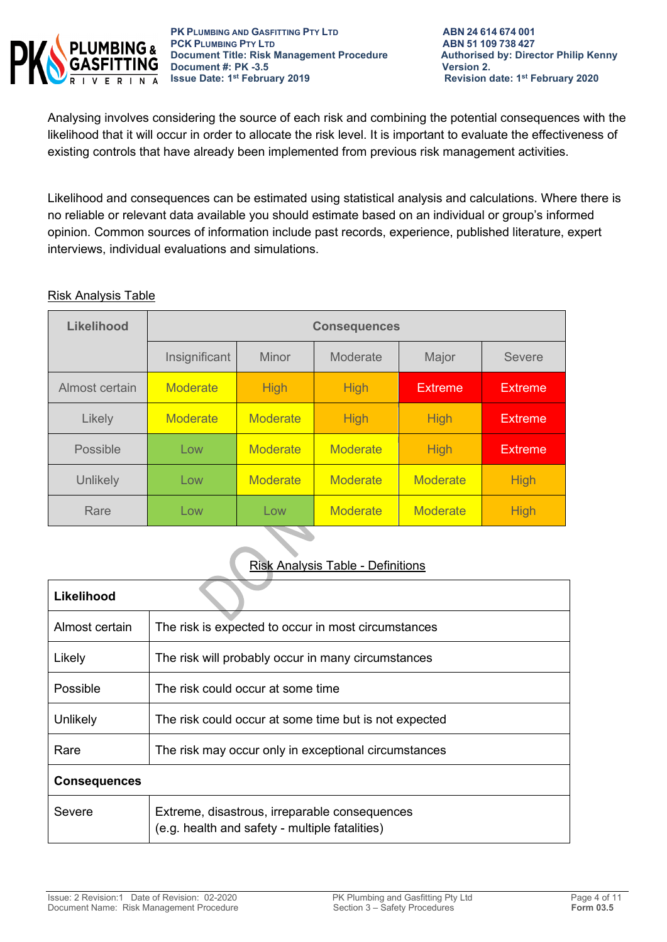

Analysing involves considering the source of each risk and combining the potential consequences with the likelihood that it will occur in order to allocate the risk level. It is important to evaluate the effectiveness of existing controls that have already been implemented from previous risk management activities.

Likelihood and consequences can be estimated using statistical analysis and calculations. Where there is no reliable or relevant data available you should estimate based on an individual or group's informed opinion. Common sources of information include past records, experience, published literature, expert interviews, individual evaluations and simulations.

#### Risk Analysis Table

| <b>Likelihood</b> | <b>Consequences</b> |                 |                 |                 |                |
|-------------------|---------------------|-----------------|-----------------|-----------------|----------------|
|                   | Insignificant       | Minor           | Moderate        | Major           | <b>Severe</b>  |
| Almost certain    | <b>Moderate</b>     | <b>High</b>     | <b>High</b>     | <b>Extreme</b>  | <b>Extreme</b> |
| Likely            | <b>Moderate</b>     | <b>Moderate</b> | <b>High</b>     | <b>High</b>     | <b>Extreme</b> |
| Possible          | Low                 | <b>Moderate</b> | <b>Moderate</b> | <b>High</b>     | <b>Extreme</b> |
| Unlikely          | Low                 | <b>Moderate</b> | <b>Moderate</b> | <b>Moderate</b> | <b>High</b>    |
| Rare              | Low                 | Low             | <b>Moderate</b> | <b>Moderate</b> | <b>High</b>    |

#### Risk Analysis Table - Definitions

| Likelihood          |                                                                                                 |  |
|---------------------|-------------------------------------------------------------------------------------------------|--|
| Almost certain      | The risk is expected to occur in most circumstances                                             |  |
| Likely              | The risk will probably occur in many circumstances                                              |  |
| Possible            | The risk could occur at some time                                                               |  |
| Unlikely            | The risk could occur at some time but is not expected                                           |  |
| Rare                | The risk may occur only in exceptional circumstances                                            |  |
| <b>Consequences</b> |                                                                                                 |  |
| Severe              | Extreme, disastrous, irreparable consequences<br>(e.g. health and safety - multiple fatalities) |  |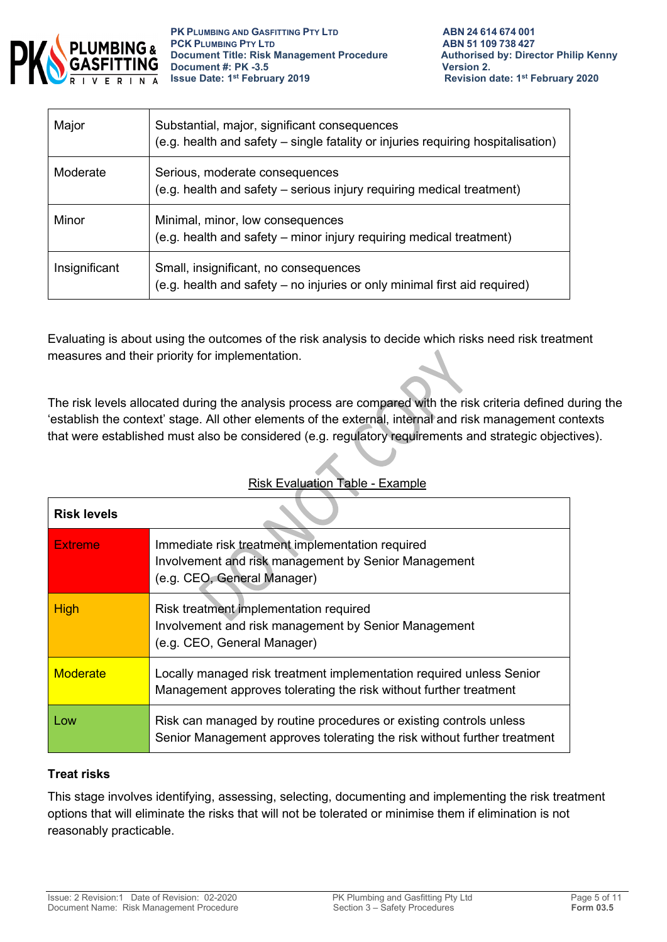

**PK PLUMBING AND GASFITTING PTY LTD**<br> **PCK PLUMBING PTY LTD**<br> **ABN 51 109 738 427 PCK PLUMBING PTY LTD**<br> **PCK PLUMBING PTY LTD**<br> **Document Title: Risk Management Procedure** Authorised by: Director Philip Kenny **Document Title: Risk Management Procedure Authorised by: Philip Authorised by: Philip Renancy Philip Renancy Renancy Philip Renancy Philip Renancy Philip Renancy Philip Renancy Philip Renancy Philip Renancy Philip Renancy Document #: PK -3.5**<br>**Issue Date: 1st February 2019** 

| Major         | Substantial, major, significant consequences<br>(e.g. health and safety – single fatality or injuries requiring hospitalisation) |
|---------------|----------------------------------------------------------------------------------------------------------------------------------|
| Moderate      | Serious, moderate consequences<br>(e.g. health and safety - serious injury requiring medical treatment)                          |
| Minor         | Minimal, minor, low consequences<br>(e.g. health and safety – minor injury requiring medical treatment)                          |
| Insignificant | Small, insignificant, no consequences<br>(e.g. health and safety - no injuries or only minimal first aid required)               |

Evaluating is about using the outcomes of the risk analysis to decide which risks need risk treatment measures and their priority for implementation.

The risk levels allocated during the analysis process are compared with the risk criteria defined during the 'establish the context' stage. All other elements of the external, internal and risk management contexts that were established must also be considered (e.g. regulatory requirements and strategic objectives).

#### Risk Evaluation Table - Example

| <b>Risk levels</b> |                                                                                                                                                |
|--------------------|------------------------------------------------------------------------------------------------------------------------------------------------|
| <b>Extreme</b>     | Immediate risk treatment implementation required<br>Involvement and risk management by Senior Management<br>(e.g. CEO, General Manager)        |
| <b>High</b>        | Risk treatment implementation required<br>Involvement and risk management by Senior Management<br>(e.g. CEO, General Manager)                  |
| <b>Moderate</b>    | Locally managed risk treatment implementation required unless Senior<br>Management approves tolerating the risk without further treatment      |
| Low                | Risk can managed by routine procedures or existing controls unless<br>Senior Management approves tolerating the risk without further treatment |

#### **Treat risks**

This stage involves identifying, assessing, selecting, documenting and implementing the risk treatment options that will eliminate the risks that will not be tolerated or minimise them if elimination is not reasonably practicable.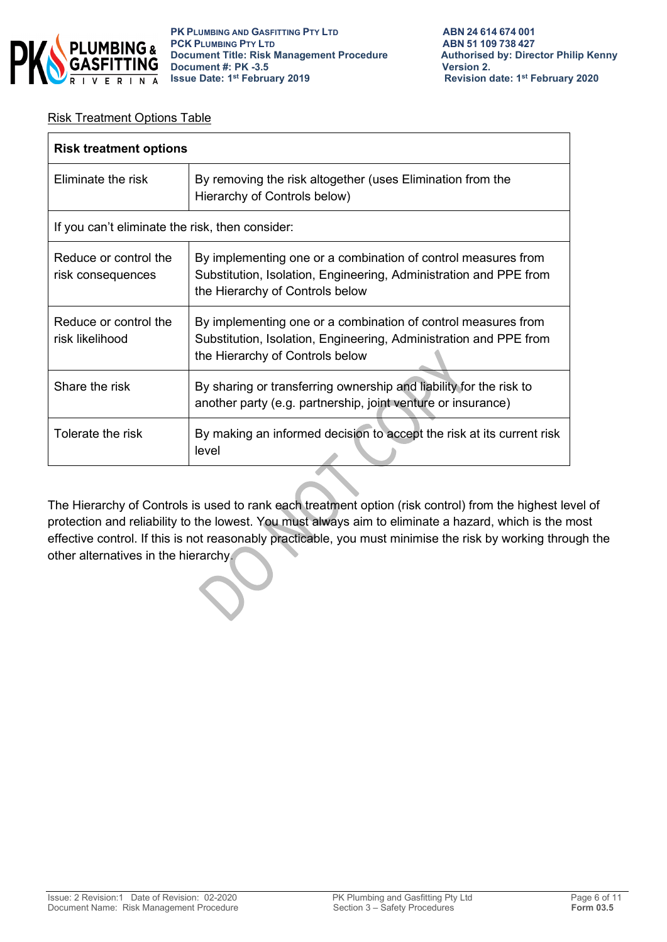

#### Risk Treatment Options Table

| <b>Risk treatment options</b>                   |                                                                                                                                                                       |  |
|-------------------------------------------------|-----------------------------------------------------------------------------------------------------------------------------------------------------------------------|--|
| Eliminate the risk                              | By removing the risk altogether (uses Elimination from the<br>Hierarchy of Controls below)                                                                            |  |
| If you can't eliminate the risk, then consider: |                                                                                                                                                                       |  |
| Reduce or control the<br>risk consequences      | By implementing one or a combination of control measures from<br>Substitution, Isolation, Engineering, Administration and PPE from<br>the Hierarchy of Controls below |  |
| Reduce or control the<br>risk likelihood        | By implementing one or a combination of control measures from<br>Substitution, Isolation, Engineering, Administration and PPE from<br>the Hierarchy of Controls below |  |
| Share the risk                                  | By sharing or transferring ownership and liability for the risk to<br>another party (e.g. partnership, joint venture or insurance)                                    |  |
| Tolerate the risk                               | By making an informed decision to accept the risk at its current risk<br>level                                                                                        |  |

The Hierarchy of Controls is used to rank each treatment option (risk control) from the highest level of protection and reliability to the lowest. You must always aim to eliminate a hazard, which is the most effective control. If this is not reasonably practicable, you must minimise the risk by working through the other alternatives in the hierarchy.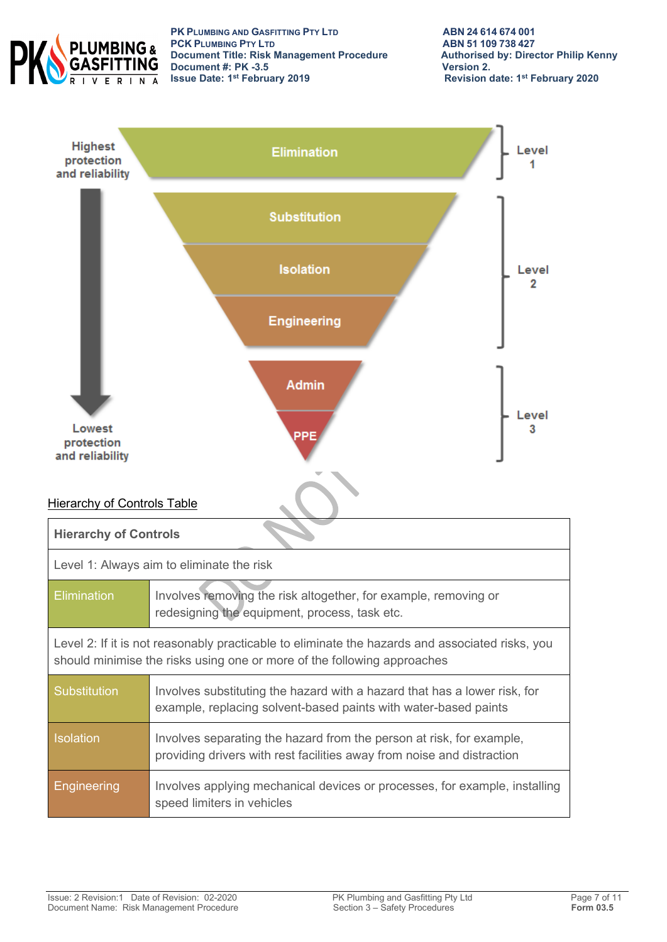

**PK PLUMBING AND GASFITTING PTY LTD ABN 24 614 674 001 PCK PLUMBING PTY LTD**<br> **PCK PLUMBING PTY LTD**<br> **Document Title: Risk Management Procedure** Authorised by: Director Philip Kenny **Document Title: Risk Management Procedure Authorised by: Authorised by: Philip Renally Renally Renally Renally Renally Renally Renally Renally Renally Renally Renally Renally Renally Renally Renally Renally Renally Renall Document #: PK -3.5 Issue Date: 1st February 2019** 

**Revision date: 1st February 2020** 

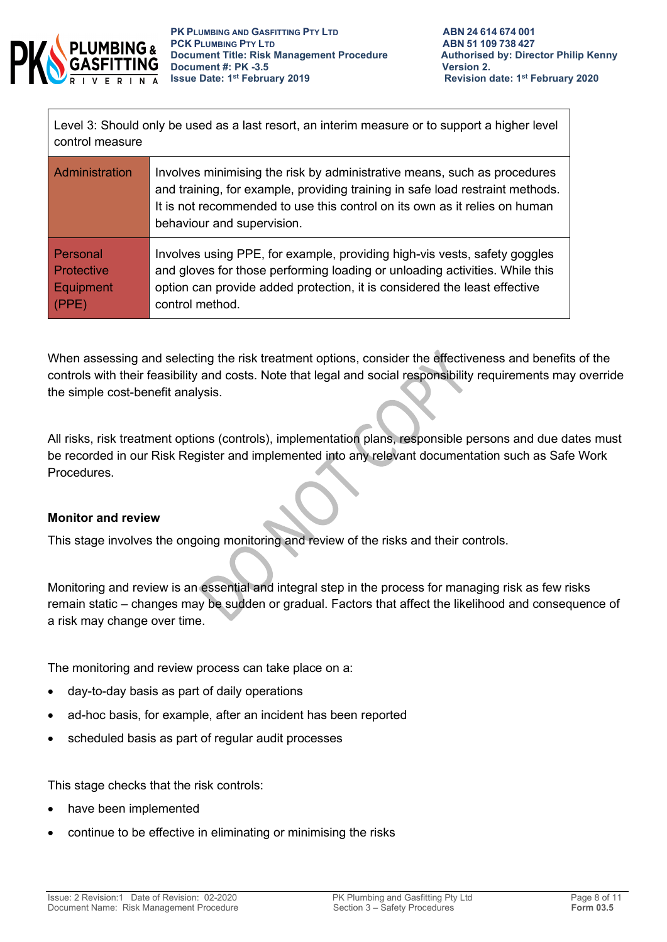

Level 3: Should only be used as a last resort, an interim measure or to support a higher level control measure

| Administration    | Involves minimising the risk by administrative means, such as procedures<br>and training, for example, providing training in safe load restraint methods.<br>It is not recommended to use this control on its own as it relies on human<br>behaviour and supervision. |
|-------------------|-----------------------------------------------------------------------------------------------------------------------------------------------------------------------------------------------------------------------------------------------------------------------|
| Personal          | Involves using PPE, for example, providing high-vis vests, safety goggles                                                                                                                                                                                             |
| <b>Protective</b> | and gloves for those performing loading or unloading activities. While this                                                                                                                                                                                           |
| Equipment         | option can provide added protection, it is considered the least effective                                                                                                                                                                                             |
| (PPE)             | control method.                                                                                                                                                                                                                                                       |

When assessing and selecting the risk treatment options, consider the effectiveness and benefits of the controls with their feasibility and costs. Note that legal and social responsibility requirements may override the simple cost-benefit analysis.

All risks, risk treatment options (controls), implementation plans, responsible persons and due dates must be recorded in our Risk Register and implemented into any relevant documentation such as Safe Work Procedures.

#### **Monitor and review**

This stage involves the ongoing monitoring and review of the risks and their controls.

Monitoring and review is an essential and integral step in the process for managing risk as few risks remain static – changes may be sudden or gradual. Factors that affect the likelihood and consequence of a risk may change over time.

The monitoring and review process can take place on a:

- day-to-day basis as part of daily operations
- ad-hoc basis, for example, after an incident has been reported
- scheduled basis as part of regular audit processes

This stage checks that the risk controls:

- have been implemented
- continue to be effective in eliminating or minimising the risks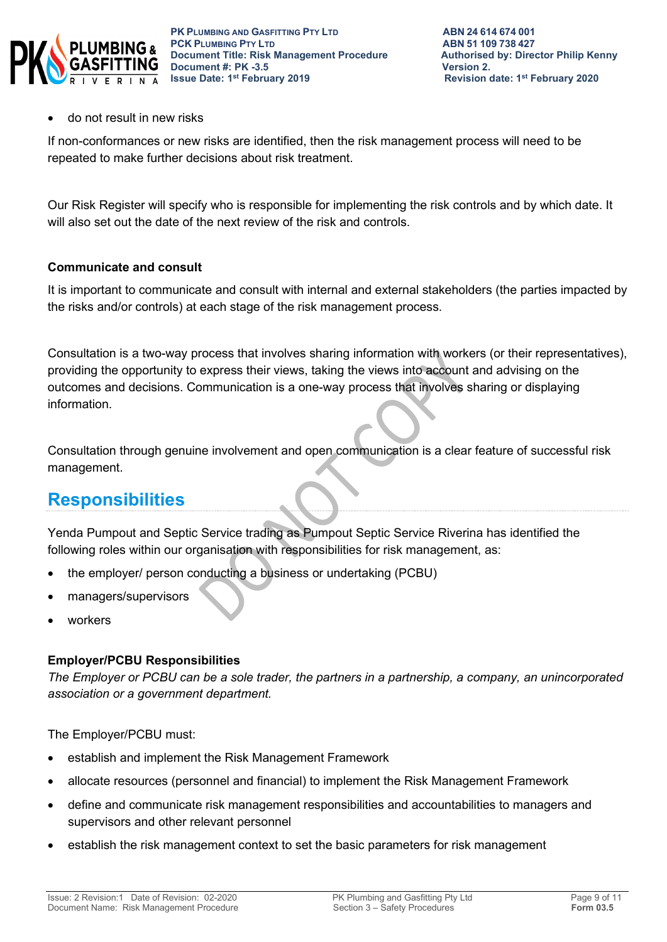

#### • do not result in new risks

If non-conformances or new risks are identified, then the risk management process will need to be repeated to make further decisions about risk treatment.

Our Risk Register will specify who is responsible for implementing the risk controls and by which date. It will also set out the date of the next review of the risk and controls.

#### **Communicate and consult**

It is important to communicate and consult with internal and external stakeholders (the parties impacted by the risks and/or controls) at each stage of the risk management process.

Consultation is a two-way process that involves sharing information with workers (or their representatives), providing the opportunity to express their views, taking the views into account and advising on the outcomes and decisions. Communication is a one-way process that involves sharing or displaying information.

Consultation through genuine involvement and open communication is a clear feature of successful risk management.

### **Responsibilities**

Yenda Pumpout and Septic Service trading as Pumpout Septic Service Riverina has identified the following roles within our organisation with responsibilities for risk management, as:

- the employer/ person conducting a business or undertaking (PCBU)
- managers/supervisors
- workers

#### **Employer/PCBU Responsibilities**

*The Employer or PCBU can be a sole trader, the partners in a partnership, a company, an unincorporated association or a government department.* 

The Employer/PCBU must:

- establish and implement the Risk Management Framework
- allocate resources (personnel and financial) to implement the Risk Management Framework
- define and communicate risk management responsibilities and accountabilities to managers and supervisors and other relevant personnel
- establish the risk management context to set the basic parameters for risk management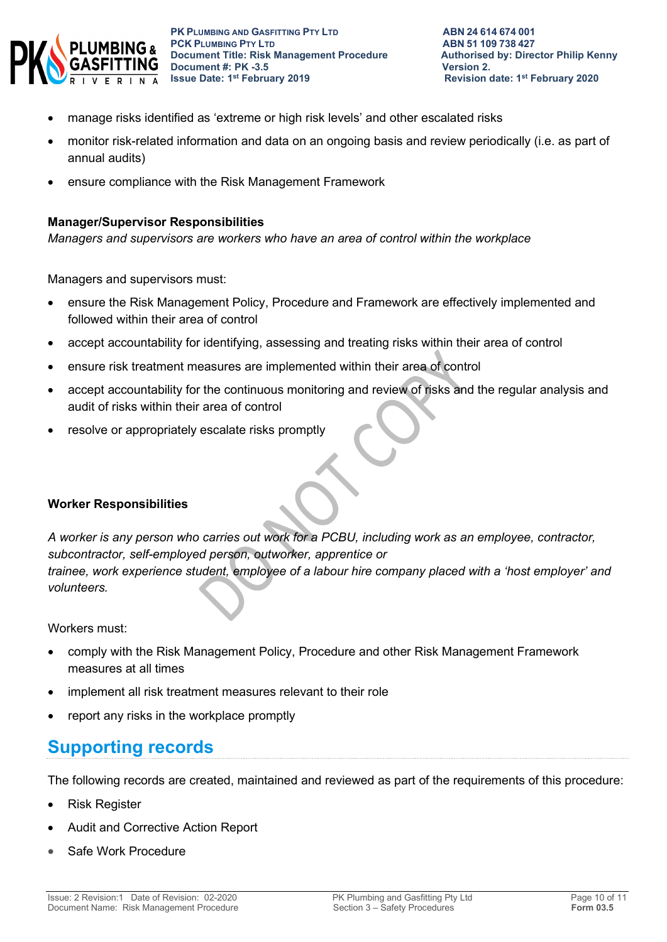

- manage risks identified as 'extreme or high risk levels' and other escalated risks
- monitor risk-related information and data on an ongoing basis and review periodically (i.e. as part of annual audits)
- ensure compliance with the Risk Management Framework

#### **Manager/Supervisor Responsibilities**

*Managers and supervisors are workers who have an area of control within the workplace*

Managers and supervisors must:

- ensure the Risk Management Policy, Procedure and Framework are effectively implemented and followed within their area of control
- accept accountability for identifying, assessing and treating risks within their area of control
- ensure risk treatment measures are implemented within their area of control
- accept accountability for the continuous monitoring and review of risks and the regular analysis and audit of risks within their area of control
- resolve or appropriately escalate risks promptly

#### **Worker Responsibilities**

*A worker is any person who carries out work for a PCBU, including work as an employee, contractor, subcontractor, self-employed person, outworker, apprentice or trainee, work experience student, employee of a labour hire company placed with a 'host employer' and volunteers.*

Workers must:

- comply with the Risk Management Policy, Procedure and other Risk Management Framework measures at all times
- implement all risk treatment measures relevant to their role
- report any risks in the workplace promptly

# **Supporting records**

The following records are created, maintained and reviewed as part of the requirements of this procedure:

- Risk Register
- Audit and Corrective Action Report
- Safe Work Procedure